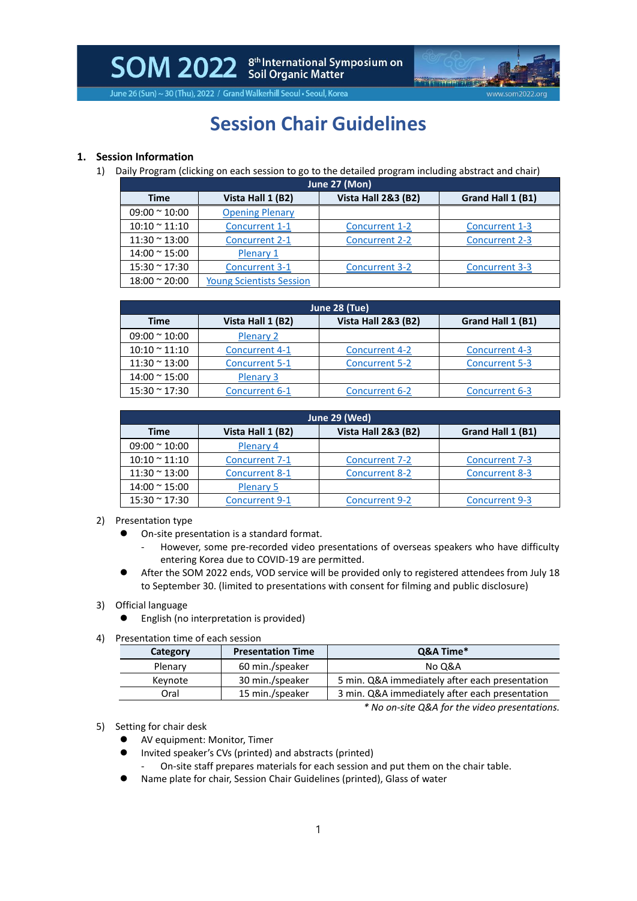SOM 2022 Scil Organic Matter<br>Soll Organic Matter



June 26 (Sun) ~ 30 (Thu), 2022 / Grand Walkerhill Seoul . Seoul, Korea

# **Session Chair Guidelines**

### **1. Session Information**

1) Daily Program (clicking on each session to go to the detailed program including abstract and chair)

| June 27 (Mon)         |                                 |                                |                       |
|-----------------------|---------------------------------|--------------------------------|-----------------------|
| <b>Time</b>           | Vista Hall 1 (B2)               | <b>Vista Hall 2&amp;3 (B2)</b> | Grand Hall 1 (B1)     |
| $09:00 \approx 10:00$ | <b>Opening Plenary</b>          |                                |                       |
| $10:10 \approx 11:10$ | Concurrent 1-1                  | <b>Concurrent 1-2</b>          | Concurrent 1-3        |
| $11:30 \approx 13:00$ | <b>Concurrent 2-1</b>           | <b>Concurrent 2-2</b>          | Concurrent 2-3        |
| $14:00 \approx 15:00$ | Plenary 1                       |                                |                       |
| $15:30 \approx 17:30$ | <b>Concurrent 3-1</b>           | <b>Concurrent 3-2</b>          | <b>Concurrent 3-3</b> |
| $18:00 \approx 20:00$ | <b>Young Scientists Session</b> |                                |                       |

| June 28 (Tue)         |                       |                                |                       |
|-----------------------|-----------------------|--------------------------------|-----------------------|
| Time                  | Vista Hall 1 (B2)     | <b>Vista Hall 2&amp;3 (B2)</b> | Grand Hall 1 (B1)     |
| $09:00 \approx 10:00$ | Plenary 2             |                                |                       |
| $10:10 \approx 11:10$ | <b>Concurrent 4-1</b> | <b>Concurrent 4-2</b>          | <b>Concurrent 4-3</b> |
| $11:30 \approx 13:00$ | <b>Concurrent 5-1</b> | <b>Concurrent 5-2</b>          | <b>Concurrent 5-3</b> |
| $14:00 \approx 15:00$ | <b>Plenary 3</b>      |                                |                       |
| $15:30 \approx 17:30$ | <b>Concurrent 6-1</b> | <b>Concurrent 6-2</b>          | Concurrent 6-3        |

| June 29 (Wed)         |                       |                                |                       |
|-----------------------|-----------------------|--------------------------------|-----------------------|
| <b>Time</b>           | Vista Hall 1 (B2)     | <b>Vista Hall 2&amp;3 (B2)</b> | Grand Hall 1 (B1)     |
| $09:00 \approx 10:00$ | Plenary 4             |                                |                       |
| $10:10 \approx 11:10$ | Concurrent 7-1        | <b>Concurrent 7-2</b>          | <b>Concurrent 7-3</b> |
| $11:30 \approx 13:00$ | <b>Concurrent 8-1</b> | <b>Concurrent 8-2</b>          | <b>Concurrent 8-3</b> |
| $14:00 \approx 15:00$ | <b>Plenary 5</b>      |                                |                       |
| $15:30 \approx 17:30$ | <b>Concurrent 9-1</b> | <b>Concurrent 9-2</b>          | <b>Concurrent 9-3</b> |

- 2) Presentation type
	- ⚫ On-site presentation is a standard format.
		- However, some pre-recorded video presentations of overseas speakers who have difficulty entering Korea due to COVID-19 are permitted.
	- ⚫ After the SOM 2022 ends, VOD service will be provided only to registered attendees from July 18 to September 30. (limited to presentations with consent for filming and public disclosure)

#### 3) Official language

- ⚫ English (no interpretation is provided)
- 4) Presentation time of each session

| Category | <b>Presentation Time</b> | Q&A Time*                                      |
|----------|--------------------------|------------------------------------------------|
| Plenary  | 60 min./speaker          | No O&A                                         |
| Keynote  | 30 min./speaker          | 5 min. Q&A immediately after each presentation |
| Oral     | 15 min./speaker          | 3 min. Q&A immediately after each presentation |

*\* No on-site Q&A for the video presentations.*

- 5) Setting for chair desk
	- ⚫ AV equipment: Monitor, Timer
	- ⚫ Invited speaker's CVs (printed) and abstracts (printed)
		- On-site staff prepares materials for each session and put them on the chair table.
	- ⚫ Name plate for chair, Session Chair Guidelines (printed), Glass of water